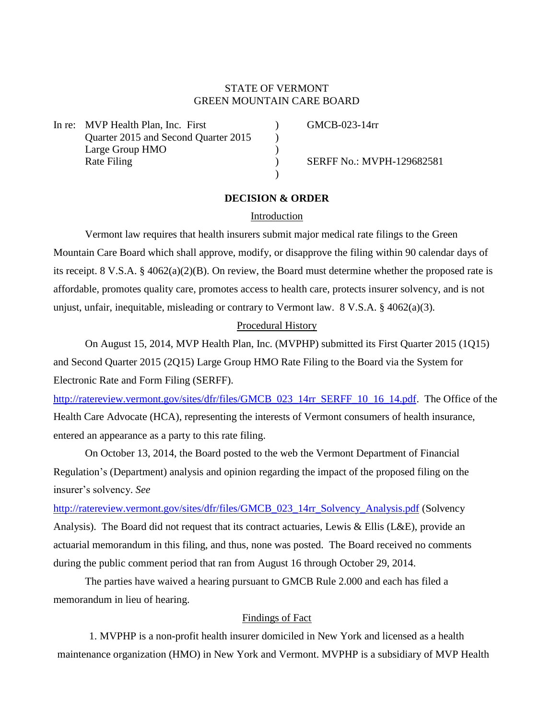# STATE OF VERMONT GREEN MOUNTAIN CARE BOARD

In re: MVP Health Plan, Inc. First (Inc. 2008) GMCB-023-14rr Quarter 2015 and Second Quarter 2015 ) Large Group HMO (1996) Rate Filing (a) SERFF No.: MVPH-129682581

## **DECISION & ORDER**

)

### Introduction

Vermont law requires that health insurers submit major medical rate filings to the Green Mountain Care Board which shall approve, modify, or disapprove the filing within 90 calendar days of its receipt. 8 V.S.A. § 4062(a)(2)(B). On review, the Board must determine whether the proposed rate is affordable, promotes quality care, promotes access to health care, protects insurer solvency, and is not unjust, unfair, inequitable, misleading or contrary to Vermont law. 8 V.S.A. § 4062(a)(3).

#### Procedural History

On August 15, 2014, MVP Health Plan, Inc. (MVPHP) submitted its First Quarter 2015 (1Q15) and Second Quarter 2015 (2Q15) Large Group HMO Rate Filing to the Board via the System for Electronic Rate and Form Filing (SERFF).

[http://ratereview.vermont.gov/sites/dfr/files/GMCB\\_023\\_14rr\\_SERFF\\_10\\_16\\_14.pdf.](http://ratereview.vermont.gov/sites/dfr/files/GMCB_023_14rr_SERFF_10_16_14.pdf) The Office of the Health Care Advocate (HCA), representing the interests of Vermont consumers of health insurance, entered an appearance as a party to this rate filing.

On October 13, 2014, the Board posted to the web the Vermont Department of Financial Regulation's (Department) analysis and opinion regarding the impact of the proposed filing on the insurer's solvency. *See* 

http://ratereview.vermont.gov/sites/dfr/files/GMCB 023 14rr Solvency Analysis.pdf (Solvency Analysis). The Board did not request that its contract actuaries, Lewis & Ellis (L&E), provide an actuarial memorandum in this filing, and thus, none was posted. The Board received no comments during the public comment period that ran from August 16 through October 29, 2014.

The parties have waived a hearing pursuant to GMCB Rule 2.000 and each has filed a memorandum in lieu of hearing.

## Findings of Fact

1. MVPHP is a non-profit health insurer domiciled in New York and licensed as a health maintenance organization (HMO) in New York and Vermont. MVPHP is a subsidiary of MVP Health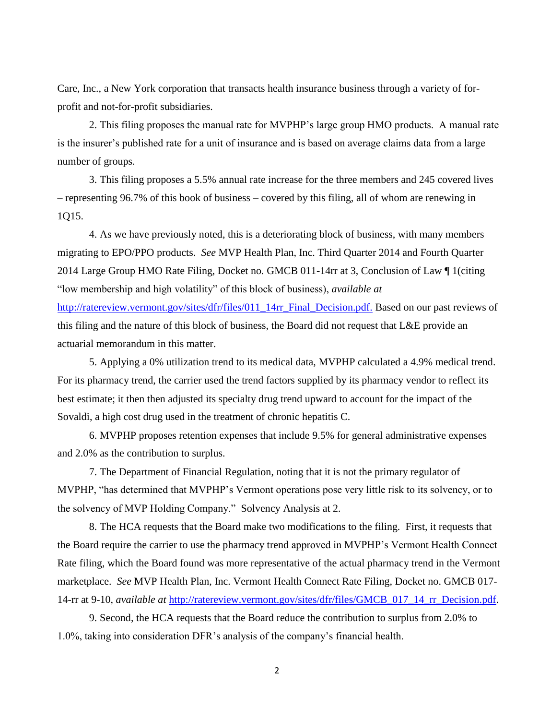Care, Inc., a New York corporation that transacts health insurance business through a variety of forprofit and not-for-profit subsidiaries.

2. This filing proposes the manual rate for MVPHP's large group HMO products. A manual rate is the insurer's published rate for a unit of insurance and is based on average claims data from a large number of groups.

3. This filing proposes a 5.5% annual rate increase for the three members and 245 covered lives – representing 96.7% of this book of business – covered by this filing, all of whom are renewing in 1Q15.

4. As we have previously noted, this is a deteriorating block of business, with many members migrating to EPO/PPO products. *See* MVP Health Plan, Inc. Third Quarter 2014 and Fourth Quarter 2014 Large Group HMO Rate Filing, Docket no. GMCB 011-14rr at 3, Conclusion of Law ¶ 1(citing "low membership and high volatility" of this block of business), *available at* [http://ratereview.vermont.gov/sites/dfr/files/011\\_14rr\\_Final\\_Decision.pdf.](http://ratereview.vermont.gov/sites/dfr/files/011_14rr_Final_Decision.pdf) Based on our past reviews of this filing and the nature of this block of business, the Board did not request that L&E provide an actuarial memorandum in this matter.

5. Applying a 0% utilization trend to its medical data, MVPHP calculated a 4.9% medical trend. For its pharmacy trend, the carrier used the trend factors supplied by its pharmacy vendor to reflect its best estimate; it then then adjusted its specialty drug trend upward to account for the impact of the Sovaldi, a high cost drug used in the treatment of chronic hepatitis C.

6. MVPHP proposes retention expenses that include 9.5% for general administrative expenses and 2.0% as the contribution to surplus.

7. The Department of Financial Regulation, noting that it is not the primary regulator of MVPHP, "has determined that MVPHP's Vermont operations pose very little risk to its solvency, or to the solvency of MVP Holding Company." Solvency Analysis at 2.

8. The HCA requests that the Board make two modifications to the filing. First, it requests that the Board require the carrier to use the pharmacy trend approved in MVPHP's Vermont Health Connect Rate filing, which the Board found was more representative of the actual pharmacy trend in the Vermont marketplace. *See* MVP Health Plan, Inc. Vermont Health Connect Rate Filing, Docket no. GMCB 017- 14-rr at 9-10, *available at* [http://ratereview.vermont.gov/sites/dfr/files/GMCB\\_017\\_14\\_rr\\_Decision.pdf.](http://ratereview.vermont.gov/sites/dfr/files/GMCB_017_14_rr_Decision.pdf)

9. Second, the HCA requests that the Board reduce the contribution to surplus from 2.0% to 1.0%, taking into consideration DFR's analysis of the company's financial health.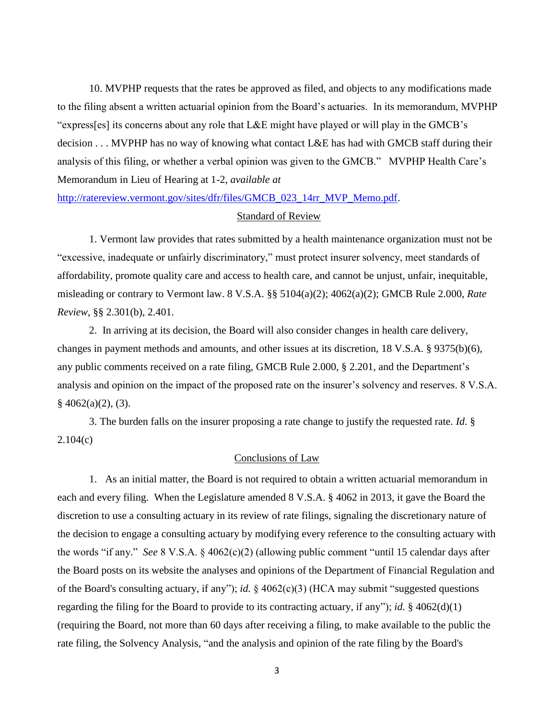10. MVPHP requests that the rates be approved as filed, and objects to any modifications made to the filing absent a written actuarial opinion from the Board's actuaries. In its memorandum, MVPHP "express[es] its concerns about any role that L&E might have played or will play in the GMCB's decision . . . MVPHP has no way of knowing what contact L&E has had with GMCB staff during their analysis of this filing, or whether a verbal opinion was given to the GMCB." MVPHP Health Care's Memorandum in Lieu of Hearing at 1-2, *available at*

[http://ratereview.vermont.gov/sites/dfr/files/GMCB\\_023\\_14rr\\_MVP\\_Memo.pdf.](http://ratereview.vermont.gov/sites/dfr/files/GMCB_023_14rr_MVP_Memo.pdf)

#### Standard of Review

1. Vermont law provides that rates submitted by a health maintenance organization must not be "excessive, inadequate or unfairly discriminatory," must protect insurer solvency, meet standards of affordability, promote quality care and access to health care, and cannot be unjust, unfair, inequitable, misleading or contrary to Vermont law. 8 V.S.A. §§ 5104(a)(2); 4062(a)(2); GMCB Rule 2.000, *Rate Review*, §§ 2.301(b), 2.401.

2. In arriving at its decision, the Board will also consider changes in health care delivery, changes in payment methods and amounts, and other issues at its discretion, 18 V.S.A. § 9375(b)(6), any public comments received on a rate filing, GMCB Rule 2.000, § 2.201, and the Department's analysis and opinion on the impact of the proposed rate on the insurer's solvency and reserves. 8 V.S.A.  $§$  4062(a)(2), (3).

3. The burden falls on the insurer proposing a rate change to justify the requested rate. *Id*. §  $2.104(c)$ 

### Conclusions of Law

1. As an initial matter, the Board is not required to obtain a written actuarial memorandum in each and every filing. When the Legislature amended 8 V.S.A. § 4062 in 2013, it gave the Board the discretion to use a consulting actuary in its review of rate filings, signaling the discretionary nature of the decision to engage a consulting actuary by modifying every reference to the consulting actuary with the words "if any." *See* 8 V.S.A. § 4062(c)(2) (allowing public comment "until 15 calendar days after the Board posts on its website the analyses and opinions of the Department of Financial Regulation and of the Board's consulting actuary, if any"); *id.* § 4062(c)(3) (HCA may submit "suggested questions regarding the filing for the Board to provide to its contracting actuary, if any"); *id.* § 4062(d)(1) (requiring the Board, not more than 60 days after receiving a filing, to make available to the public the rate filing, the Solvency Analysis, "and the analysis and opinion of the rate filing by the Board's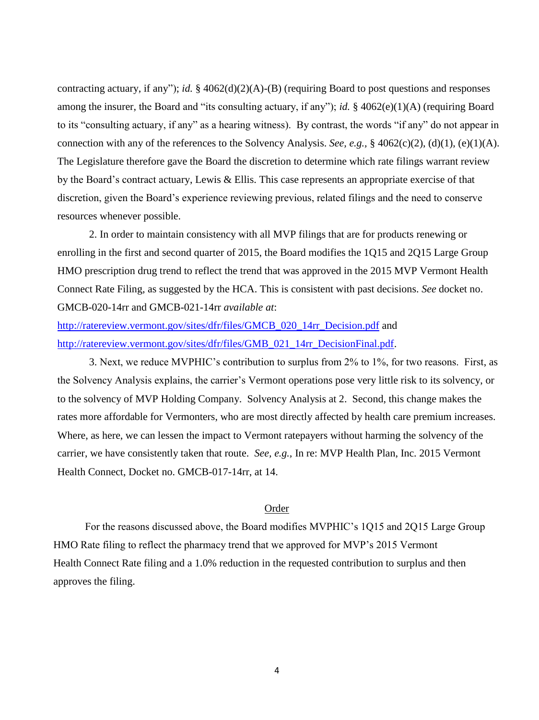contracting actuary, if any"); *id.* § 4062(d)(2)(A)-(B) (requiring Board to post questions and responses among the insurer, the Board and "its consulting actuary, if any"); *id.* § 4062(e)(1)(A) (requiring Board to its "consulting actuary, if any" as a hearing witness). By contrast, the words "if any" do not appear in connection with any of the references to the Solvency Analysis. *See, e.g.,* § 4062(c)(2), (d)(1), (e)(1)(A). The Legislature therefore gave the Board the discretion to determine which rate filings warrant review by the Board's contract actuary, Lewis & Ellis. This case represents an appropriate exercise of that discretion, given the Board's experience reviewing previous, related filings and the need to conserve resources whenever possible.

2. In order to maintain consistency with all MVP filings that are for products renewing or enrolling in the first and second quarter of 2015, the Board modifies the 1Q15 and 2Q15 Large Group HMO prescription drug trend to reflect the trend that was approved in the 2015 MVP Vermont Health Connect Rate Filing, as suggested by the HCA. This is consistent with past decisions. *See* docket no. GMCB-020-14rr and GMCB-021-14rr *available at*:

[http://ratereview.vermont.gov/sites/dfr/files/GMCB\\_020\\_14rr\\_Decision.pdf](http://ratereview.vermont.gov/sites/dfr/files/GMCB_020_14rr_Decision.pdf) and [http://ratereview.vermont.gov/sites/dfr/files/GMB\\_021\\_14rr\\_DecisionFinal.pdf.](http://ratereview.vermont.gov/sites/dfr/files/GMB_021_14rr_DecisionFinal.pdf)

3. Next, we reduce MVPHIC's contribution to surplus from 2% to 1%, for two reasons. First, as the Solvency Analysis explains, the carrier's Vermont operations pose very little risk to its solvency, or to the solvency of MVP Holding Company. Solvency Analysis at 2. Second, this change makes the rates more affordable for Vermonters, who are most directly affected by health care premium increases. Where, as here, we can lessen the impact to Vermont ratepayers without harming the solvency of the carrier, we have consistently taken that route. *See, e.g.,* In re: MVP Health Plan, Inc. 2015 Vermont Health Connect, Docket no. GMCB-017-14rr, at 14.

## Order

For the reasons discussed above, the Board modifies MVPHIC's 1Q15 and 2Q15 Large Group HMO Rate filing to reflect the pharmacy trend that we approved for MVP's 2015 Vermont Health Connect Rate filing and a 1.0% reduction in the requested contribution to surplus and then approves the filing.